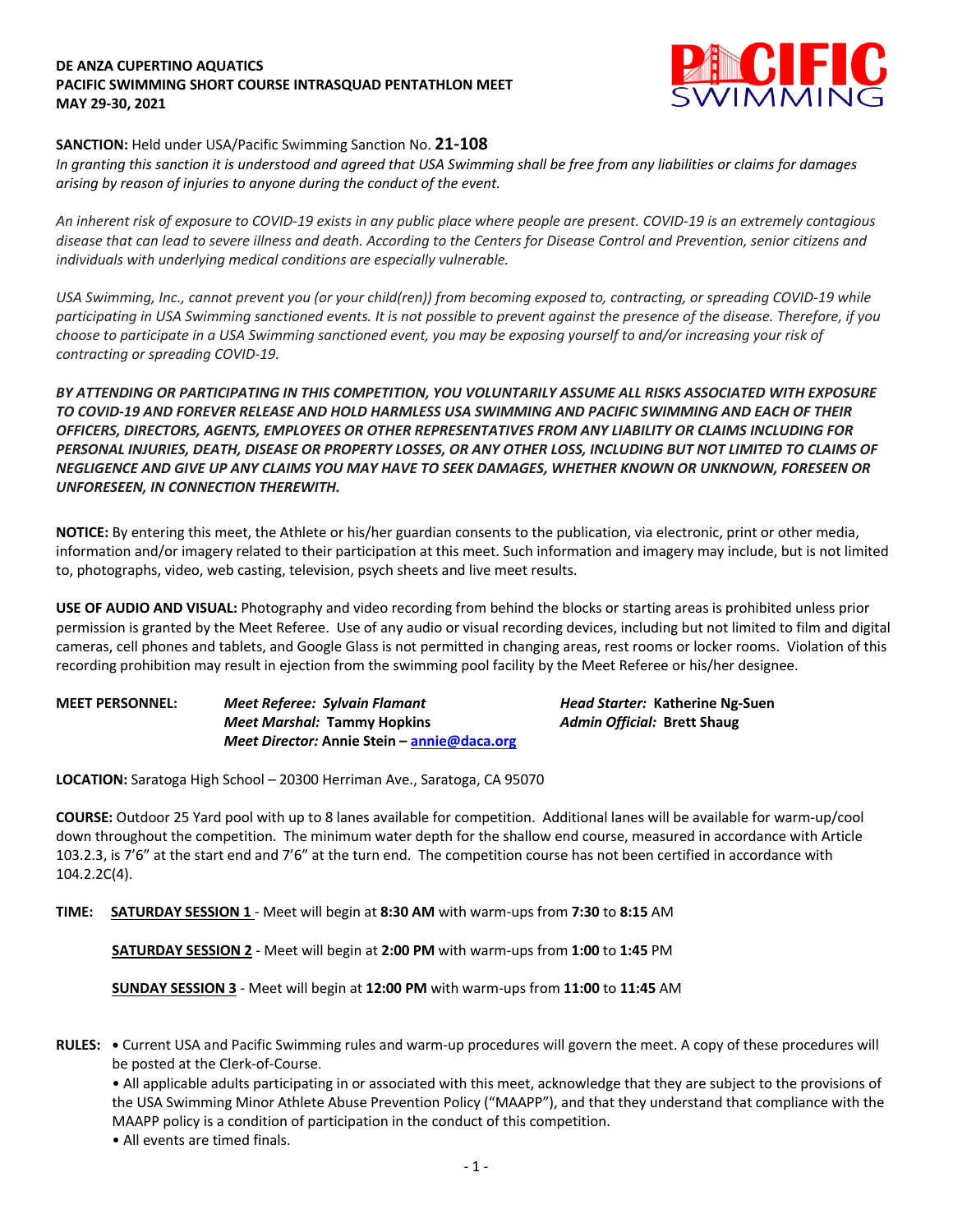### **DE ANZA CUPERTINO AQUATICS PACIFIC SWIMMING SHORT COURSE INTRASQUAD PENTATHLON MEET MAY 29-30, 2021**



## **SANCTION:** Held under USA/Pacific Swimming Sanction No. **21-108**

*In granting this sanction it is understood and agreed that USA Swimming shall be free from any liabilities or claims for damages arising by reason of injuries to anyone during the conduct of the event.* 

*An inherent risk of exposure to COVID-19 exists in any public place where people are present. COVID-19 is an extremely contagious disease that can lead to severe illness and death. According to the Centers for Disease Control and Prevention, senior citizens and individuals with underlying medical conditions are especially vulnerable.*

*USA Swimming, Inc., cannot prevent you (or your child(ren)) from becoming exposed to, contracting, or spreading COVID-19 while participating in USA Swimming sanctioned events. It is not possible to prevent against the presence of the disease. Therefore, if you choose to participate in a USA Swimming sanctioned event, you may be exposing yourself to and/or increasing your risk of contracting or spreading COVID-19.*

*BY ATTENDING OR PARTICIPATING IN THIS COMPETITION, YOU VOLUNTARILY ASSUME ALL RISKS ASSOCIATED WITH EXPOSURE TO COVID-19 AND FOREVER RELEASE AND HOLD HARMLESS USA SWIMMING AND PACIFIC SWIMMING AND EACH OF THEIR OFFICERS, DIRECTORS, AGENTS, EMPLOYEES OR OTHER REPRESENTATIVES FROM ANY LIABILITY OR CLAIMS INCLUDING FOR PERSONAL INJURIES, DEATH, DISEASE OR PROPERTY LOSSES, OR ANY OTHER LOSS, INCLUDING BUT NOT LIMITED TO CLAIMS OF NEGLIGENCE AND GIVE UP ANY CLAIMS YOU MAY HAVE TO SEEK DAMAGES, WHETHER KNOWN OR UNKNOWN, FORESEEN OR UNFORESEEN, IN CONNECTION THEREWITH.*

**NOTICE:** By entering this meet, the Athlete or his/her guardian consents to the publication, via electronic, print or other media, information and/or imagery related to their participation at this meet. Such information and imagery may include, but is not limited to, photographs, video, web casting, television, psych sheets and live meet results.

**USE OF AUDIO AND VISUAL:** Photography and video recording from behind the blocks or starting areas is prohibited unless prior permission is granted by the Meet Referee. Use of any audio or visual recording devices, including but not limited to film and digital cameras, cell phones and tablets, and Google Glass is not permitted in changing areas, rest rooms or locker rooms. Violation of this recording prohibition may result in ejection from the swimming pool facility by the Meet Referee or his/her designee.

| <b>MEET PERSONNEL:</b> | Meet Referee: Sylvain Flamant               | Head Starter: Katherine Ng-Suen |  |  |  |
|------------------------|---------------------------------------------|---------------------------------|--|--|--|
|                        | <b>Meet Marshal: Tammy Hopkins</b>          | Admin Official: Brett Shaug     |  |  |  |
|                        | Meet Director: Annie Stein – annie@daca.org |                                 |  |  |  |

**LOCATION:** Saratoga High School – 20300 Herriman Ave., Saratoga, CA 95070

**COURSE:** Outdoor 25 Yard pool with up to 8 lanes available for competition. Additional lanes will be available for warm-up/cool down throughout the competition. The minimum water depth for the shallow end course, measured in accordance with Article 103.2.3, is 7'6" at the start end and 7'6" at the turn end. The competition course has not been certified in accordance with 104.2.2C(4).

**TIME: SATURDAY SESSION 1** - Meet will begin at **8:30 AM** with warm-ups from **7:30** to **8:15** AM

**SATURDAY SESSION 2** - Meet will begin at **2:00 PM** with warm-ups from **1:00** to **1:45** PM

**SUNDAY SESSION 3** - Meet will begin at **12:00 PM** with warm-ups from **11:00** to **11:45** AM

**RULES: •** Current USA and Pacific Swimming rules and warm-up procedures will govern the meet. A copy of these procedures will be posted at the Clerk-of-Course.

• All applicable adults participating in or associated with this meet, acknowledge that they are subject to the provisions of the USA Swimming Minor Athlete Abuse Prevention Policy ("MAAPP"), and that they understand that compliance with the MAAPP policy is a condition of participation in the conduct of this competition.

• All events are timed finals.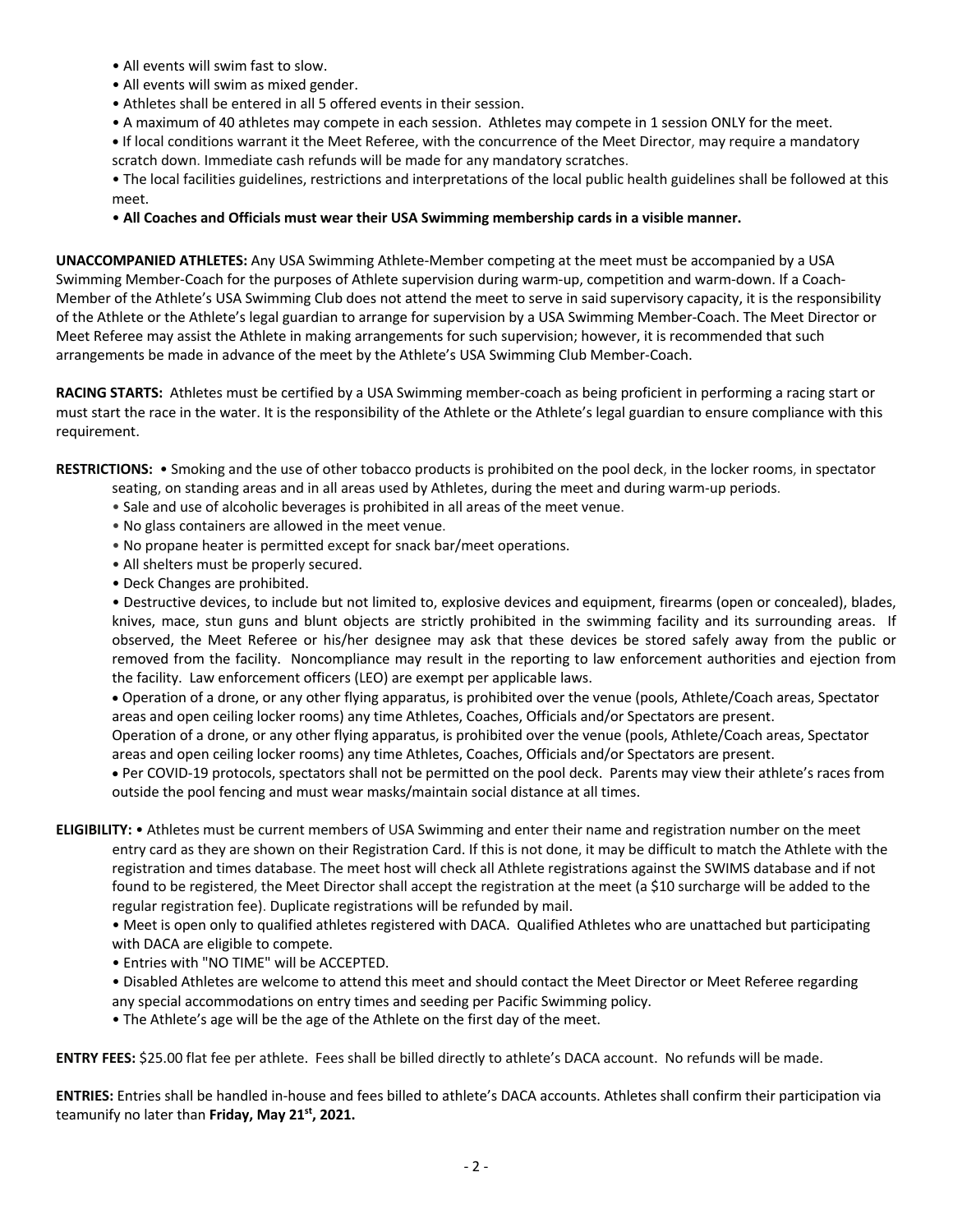- All events will swim fast to slow.
- All events will swim as mixed gender.
- Athletes shall be entered in all 5 offered events in their session.
- A maximum of 40 athletes may compete in each session. Athletes may compete in 1 session ONLY for the meet.

**•** If local conditions warrant it the Meet Referee, with the concurrence of the Meet Director, may require a mandatory scratch down. Immediate cash refunds will be made for any mandatory scratches.

• The local facilities guidelines, restrictions and interpretations of the local public health guidelines shall be followed at this meet.

### • **All Coaches and Officials must wear their USA Swimming membership cards in a visible manner.**

**UNACCOMPANIED ATHLETES:** Any USA Swimming Athlete-Member competing at the meet must be accompanied by a USA Swimming Member-Coach for the purposes of Athlete supervision during warm-up, competition and warm-down. If a Coach-Member of the Athlete's USA Swimming Club does not attend the meet to serve in said supervisory capacity, it is the responsibility of the Athlete or the Athlete's legal guardian to arrange for supervision by a USA Swimming Member-Coach. The Meet Director or Meet Referee may assist the Athlete in making arrangements for such supervision; however, it is recommended that such arrangements be made in advance of the meet by the Athlete's USA Swimming Club Member-Coach.

**RACING STARTS:** Athletes must be certified by a USA Swimming member-coach as being proficient in performing a racing start or must start the race in the water. It is the responsibility of the Athlete or the Athlete's legal guardian to ensure compliance with this requirement.

**RESTRICTIONS:** • Smoking and the use of other tobacco products is prohibited on the pool deck, in the locker rooms, in spectator

- seating, on standing areas and in all areas used by Athletes, during the meet and during warm-up periods.
- Sale and use of alcoholic beverages is prohibited in all areas of the meet venue.
- No glass containers are allowed in the meet venue.
- No propane heater is permitted except for snack bar/meet operations.
- All shelters must be properly secured.
- Deck Changes are prohibited.

• Destructive devices, to include but not limited to, explosive devices and equipment, firearms (open or concealed), blades, knives, mace, stun guns and blunt objects are strictly prohibited in the swimming facility and its surrounding areas. If observed, the Meet Referee or his/her designee may ask that these devices be stored safely away from the public or removed from the facility. Noncompliance may result in the reporting to law enforcement authorities and ejection from the facility. Law enforcement officers (LEO) are exempt per applicable laws.

• Operation of a drone, or any other flying apparatus, is prohibited over the venue (pools, Athlete/Coach areas, Spectator areas and open ceiling locker rooms) any time Athletes, Coaches, Officials and/or Spectators are present.

Operation of a drone, or any other flying apparatus, is prohibited over the venue (pools, Athlete/Coach areas, Spectator areas and open ceiling locker rooms) any time Athletes, Coaches, Officials and/or Spectators are present.

• Per COVID-19 protocols, spectators shall not be permitted on the pool deck. Parents may view their athlete's races from outside the pool fencing and must wear masks/maintain social distance at all times.

**ELIGIBILITY:** • Athletes must be current members of USA Swimming and enter their name and registration number on the meet entry card as they are shown on their Registration Card. If this is not done, it may be difficult to match the Athlete with the registration and times database. The meet host will check all Athlete registrations against the SWIMS database and if not found to be registered, the Meet Director shall accept the registration at the meet (a \$10 surcharge will be added to the regular registration fee). Duplicate registrations will be refunded by mail.

• Meet is open only to qualified athletes registered with DACA. Qualified Athletes who are unattached but participating with DACA are eligible to compete.

- Entries with "NO TIME" will be ACCEPTED.
- Disabled Athletes are welcome to attend this meet and should contact the Meet Director or Meet Referee regarding any special accommodations on entry times and seeding per Pacific Swimming policy.
- The Athlete's age will be the age of the Athlete on the first day of the meet.

**ENTRY FEES:** \$25.00 flat fee per athlete. Fees shall be billed directly to athlete's DACA account. No refunds will be made.

**ENTRIES:** Entries shall be handled in-house and fees billed to athlete's DACA accounts. Athletes shall confirm their participation via teamunify no later than **Friday, May 21st, 2021.**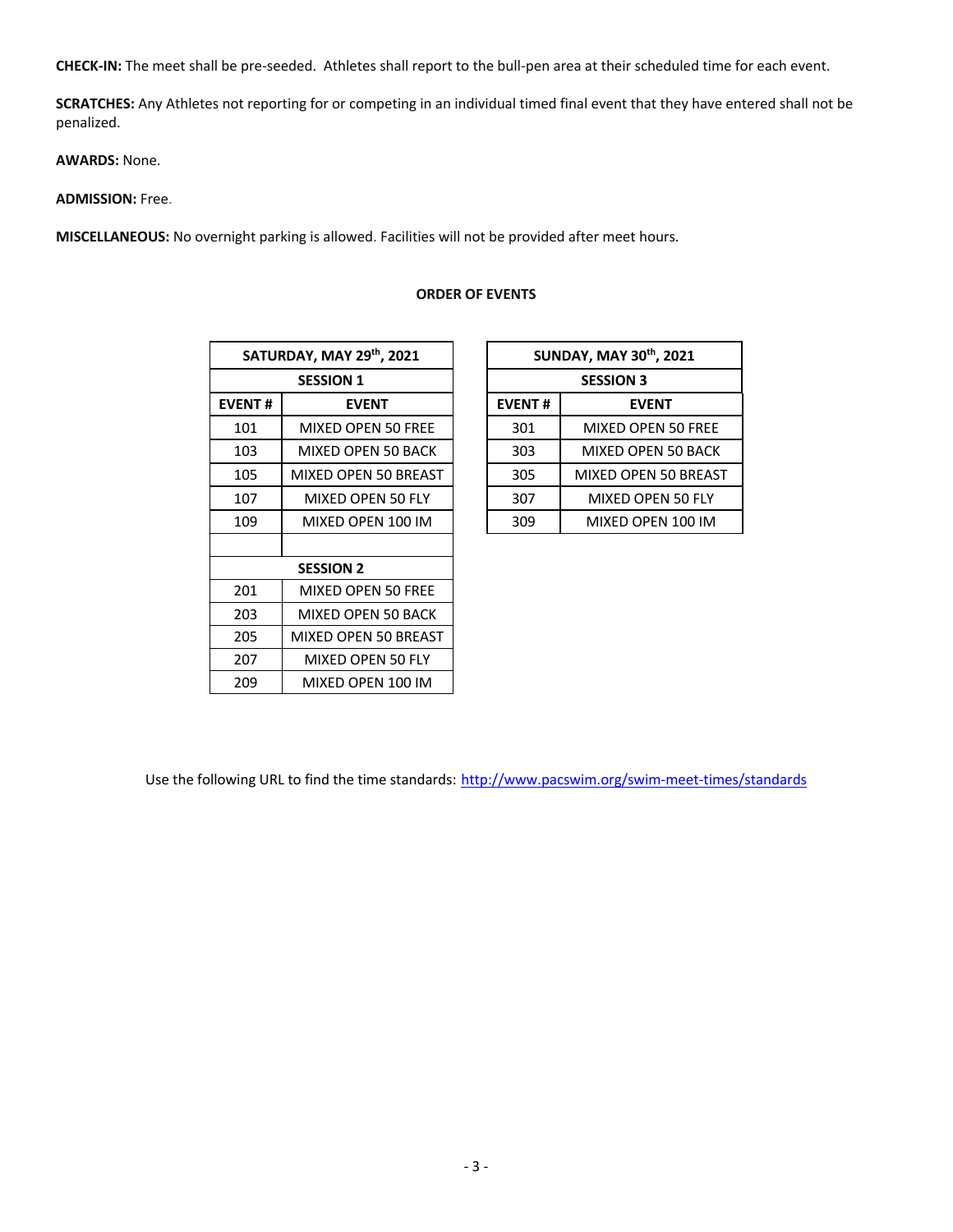**CHECK-IN:** The meet shall be pre-seeded. Athletes shall report to the bull-pen area at their scheduled time for each event.

**SCRATCHES:** Any Athletes not reporting for or competing in an individual timed final event that they have entered shall not be penalized.

**AWARDS:** None.

# **ADMISSION:** Free.

**MISCELLANEOUS:** No overnight parking is allowed. Facilities will not be provided after meet hours.

|               | SATURDAY, MAY 29th, 2021 | SUNDAY, MAY 30th, 2 |                   |  |  |
|---------------|--------------------------|---------------------|-------------------|--|--|
|               | <b>SESSION 1</b>         | <b>SESSION 3</b>    |                   |  |  |
| <b>EVENT#</b> | <b>EVENT</b>             | <b>EVENT#</b>       | <b>EVENT</b>      |  |  |
| 101           | MIXED OPEN 50 FREE       | 301                 | MIXED OPEN!       |  |  |
| 103           | MIXED OPEN 50 BACK       | 303                 | MIXED OPEN 5      |  |  |
| 105           | MIXED OPEN 50 BREAST     | 305                 | MIXED OPEN 50     |  |  |
| 107           | MIXED OPEN 50 FLY        | 307                 | <b>MIXED OPEN</b> |  |  |
| 109           | MIXED OPEN 100 IM        | 309                 | MIXED OPEN        |  |  |
|               |                          |                     |                   |  |  |
|               | <b>SESSION 2</b>         |                     |                   |  |  |
| 201           | MIXED OPEN 50 FREE       |                     |                   |  |  |
| 203           | MIXED OPEN 50 BACK       |                     |                   |  |  |
| 205           | MIXED OPEN 50 BREAST     |                     |                   |  |  |
| 207           | MIXED OPEN 50 FLY        |                     |                   |  |  |
| 209           | MIXED OPEN 100 IM        |                     |                   |  |  |

#### **ORDER OF EVENTS**

| SATURDAY, MAY 29th, 2021 |                      |  | <b>SUNDAY, MAY 30th, 2021</b> |                      |  |  |  |  |
|--------------------------|----------------------|--|-------------------------------|----------------------|--|--|--|--|
| <b>SESSION 1</b>         |                      |  | <b>SESSION 3</b>              |                      |  |  |  |  |
| 'ENT#                    | <b>EVENT</b>         |  | <b>EVENT#</b>                 | <b>EVENT</b>         |  |  |  |  |
| 101                      | MIXED OPEN 50 FREE   |  | 301                           | MIXED OPEN 50 FREE   |  |  |  |  |
| 103                      | MIXED OPEN 50 BACK   |  | 303                           | MIXED OPEN 50 BACK   |  |  |  |  |
| 105                      | MIXED OPEN 50 BREAST |  | 305                           | MIXED OPEN 50 BREAST |  |  |  |  |
| 107                      | MIXED OPEN 50 FLY    |  | 307                           | MIXED OPEN 50 FLY    |  |  |  |  |
| 109                      | MIXED OPEN 100 IM    |  | 309                           | MIXED OPEN 100 IM    |  |  |  |  |

Use the following URL to find the time standards: http://www.pacswim.org/swim-meet-times/standards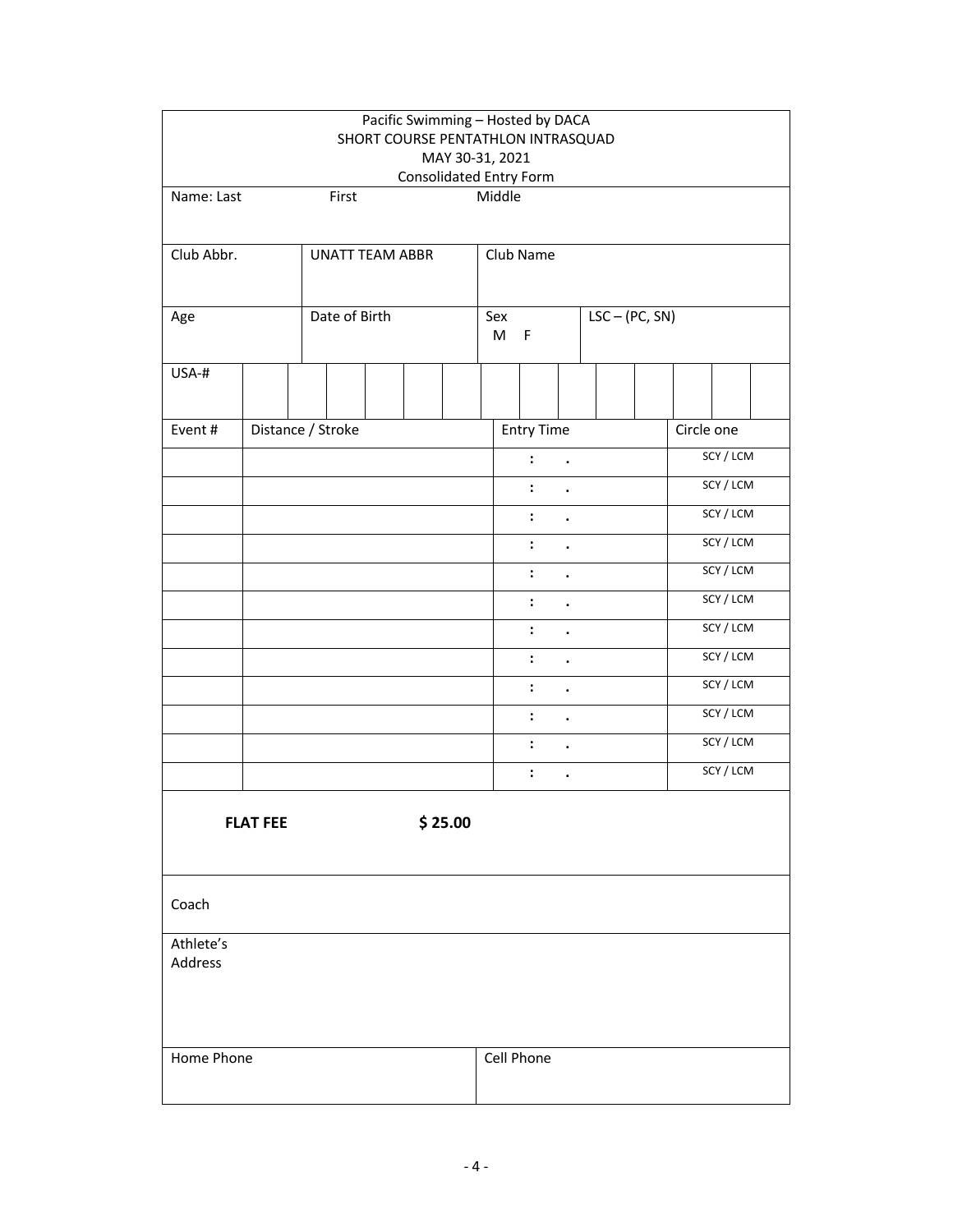|                      |                   |  |                         |                                        |                                        |                                        | Pacific Swimming - Hosted by DACA<br>SHORT COURSE PENTATHLON INTRASQUAD |                      |                      |           |            |           |           |  |
|----------------------|-------------------|--|-------------------------|----------------------------------------|----------------------------------------|----------------------------------------|-------------------------------------------------------------------------|----------------------|----------------------|-----------|------------|-----------|-----------|--|
|                      |                   |  |                         |                                        |                                        |                                        | MAY 30-31, 2021                                                         |                      |                      |           |            |           |           |  |
| Name: Last           |                   |  | First                   |                                        |                                        |                                        | Consolidated Entry Form<br>Middle                                       |                      |                      |           |            |           |           |  |
|                      |                   |  |                         |                                        |                                        |                                        |                                                                         |                      |                      |           |            |           |           |  |
| Club Abbr.           |                   |  | <b>UNATT TEAM ABBR</b>  |                                        |                                        | Club Name                              |                                                                         |                      |                      |           |            |           |           |  |
|                      |                   |  |                         |                                        |                                        |                                        |                                                                         |                      |                      |           |            |           |           |  |
| Age                  | Date of Birth     |  | Sex<br>M<br>$\mathsf F$ |                                        |                                        | $LSC - (PC, SN)$                       |                                                                         |                      |                      |           |            |           |           |  |
| USA-#                |                   |  |                         |                                        |                                        |                                        |                                                                         |                      |                      |           |            |           |           |  |
| Event#               | Distance / Stroke |  |                         |                                        |                                        |                                        | <b>Entry Time</b>                                                       |                      |                      |           | Circle one |           |           |  |
|                      |                   |  |                         |                                        |                                        |                                        |                                                                         | $\ddot{\phantom{a}}$ | $\ddot{\phantom{0}}$ |           |            |           | SCY / LCM |  |
|                      |                   |  |                         |                                        |                                        |                                        |                                                                         | $\ddot{\cdot}$       | $\bullet$            |           |            |           | SCY / LCM |  |
|                      |                   |  |                         |                                        |                                        |                                        |                                                                         | $\ddot{\cdot}$       | $\ddot{\phantom{0}}$ |           |            |           | SCY/LCM   |  |
|                      |                   |  |                         |                                        |                                        |                                        |                                                                         | $\ddot{\cdot}$       | $\ddot{\phantom{0}}$ |           |            | SCY / LCM |           |  |
|                      |                   |  |                         |                                        |                                        | $\ddot{\cdot}$<br>$\ddot{\phantom{a}}$ |                                                                         |                      |                      |           | SCY / LCM  |           |           |  |
|                      |                   |  |                         |                                        | $\ddot{\cdot}$<br>$\ddot{\phantom{0}}$ |                                        |                                                                         |                      |                      | SCY / LCM |            |           |           |  |
|                      |                   |  |                         | $\ddot{\cdot}$<br>$\ddot{\phantom{0}}$ |                                        |                                        |                                                                         |                      | SCY / LCM            |           |            |           |           |  |
|                      |                   |  |                         |                                        | $\ddot{\cdot}$<br>$\ddot{\phantom{a}}$ |                                        |                                                                         |                      |                      | SCY / LCM |            |           |           |  |
|                      |                   |  |                         |                                        | $\ddot{\cdot}$<br>$\ddot{\phantom{a}}$ |                                        |                                                                         |                      |                      | SCY / LCM |            |           |           |  |
|                      |                   |  |                         |                                        |                                        |                                        |                                                                         | $\ddot{\phantom{a}}$ | $\bullet$            |           |            |           | SCY / LCM |  |
|                      |                   |  |                         |                                        |                                        |                                        |                                                                         | $\ddot{\cdot}$       |                      |           |            |           | SCY / LCM |  |
|                      |                   |  |                         |                                        |                                        |                                        |                                                                         | $\ddot{\cdot}$       | $\bullet$            |           |            |           | SCY/LCM   |  |
|                      | <b>FLAT FEE</b>   |  |                         |                                        |                                        | \$25.00                                |                                                                         |                      |                      |           |            |           |           |  |
| Coach                |                   |  |                         |                                        |                                        |                                        |                                                                         |                      |                      |           |            |           |           |  |
| Athlete's<br>Address |                   |  |                         |                                        |                                        |                                        |                                                                         |                      |                      |           |            |           |           |  |
| Home Phone           |                   |  |                         |                                        | Cell Phone                             |                                        |                                                                         |                      |                      |           |            |           |           |  |